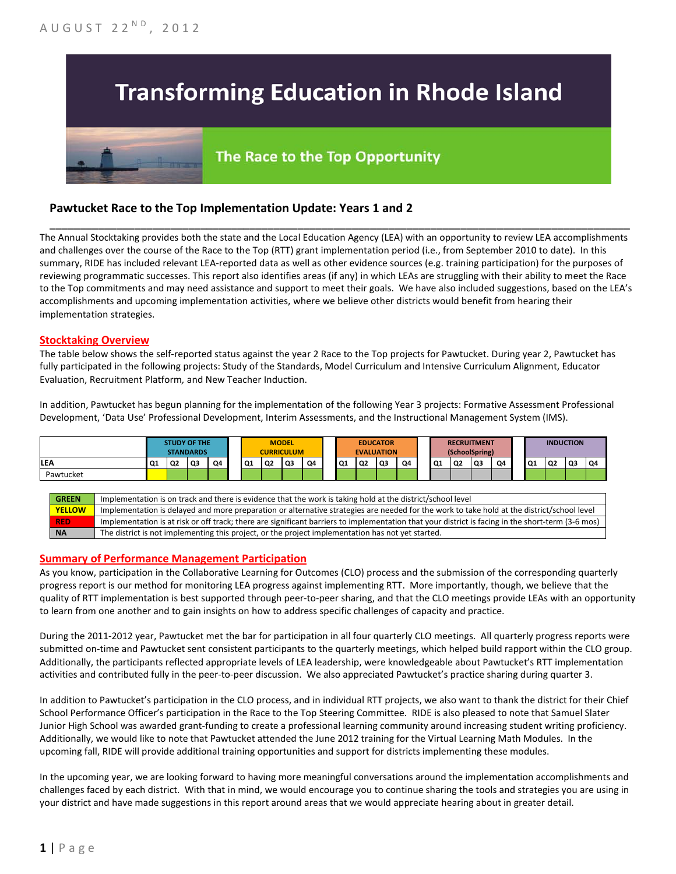# **Transforming Education in Rhode Island**

# The Race to the Top Opportunity

### **Pawtucket Race to the Top Implementation Update: Years 1 and 2**

The Annual Stocktaking provides both the state and the Local Education Agency (LEA) with an opportunity to review LEA accomplishments and challenges over the course of the Race to the Top (RTT) grant implementation period (i.e., from September 2010 to date). In this summary, RIDE has included relevant LEA-reported data as well as other evidence sources (e.g. training participation) for the purposes of reviewing programmatic successes. This report also identifies areas (if any) in which LEAs are struggling with their ability to meet the Race to the Top commitments and may need assistance and support to meet their goals. We have also included suggestions, based on the LEA's accomplishments and upcoming implementation activities, where we believe other districts would benefit from hearing their implementation strategies.

\_\_\_\_\_\_\_\_\_\_\_\_\_\_\_\_\_\_\_\_\_\_\_\_\_\_\_\_\_\_\_\_\_\_\_\_\_\_\_\_\_\_\_\_\_\_\_\_\_\_\_\_\_\_\_\_\_\_\_\_\_\_\_\_\_\_\_\_\_\_\_\_\_\_\_\_\_\_\_\_\_\_\_\_\_\_\_\_\_\_\_\_\_\_\_\_

#### **Stocktaking Overview**

The table below shows the self-reported status against the year 2 Race to the Top projects for Pawtucket. During year 2, Pawtucket has fully participated in the following projects: Study of the Standards, Model Curriculum and Intensive Curriculum Alignment, Educator Evaluation, Recruitment Platform*,* and New Teacher Induction.

In addition, Pawtucket has begun planning for the implementation of the following Year 3 projects: Formative Assessment Professional Development, 'Data Use' Professional Development, Interim Assessments, and the Instructional Management System (IMS).



#### **Summary of Performance Management Participation**

As you know, participation in the Collaborative Learning for Outcomes (CLO) process and the submission of the corresponding quarterly progress report is our method for monitoring LEA progress against implementing RTT. More importantly, though, we believe that the quality of RTT implementation is best supported through peer-to-peer sharing, and that the CLO meetings provide LEAs with an opportunity to learn from one another and to gain insights on how to address specific challenges of capacity and practice.

During the 2011-2012 year, Pawtucket met the bar for participation in all four quarterly CLO meetings. All quarterly progress reports were submitted on-time and Pawtucket sent consistent participants to the quarterly meetings, which helped build rapport within the CLO group. Additionally, the participants reflected appropriate levels of LEA leadership, were knowledgeable about Pawtucket's RTT implementation activities and contributed fully in the peer-to-peer discussion. We also appreciated Pawtucket's practice sharing during quarter 3.

In addition to Pawtucket's participation in the CLO process, and in individual RTT projects, we also want to thank the district for their Chief School Performance Officer's participation in the Race to the Top Steering Committee. RIDE is also pleased to note that Samuel Slater Junior High School was awarded grant-funding to create a professional learning community around increasing student writing proficiency. Additionally, we would like to note that Pawtucket attended the June 2012 training for the Virtual Learning Math Modules. In the upcoming fall, RIDE will provide additional training opportunities and support for districts implementing these modules.

In the upcoming year, we are looking forward to having more meaningful conversations around the implementation accomplishments and challenges faced by each district. With that in mind, we would encourage you to continue sharing the tools and strategies you are using in your district and have made suggestions in this report around areas that we would appreciate hearing about in greater detail.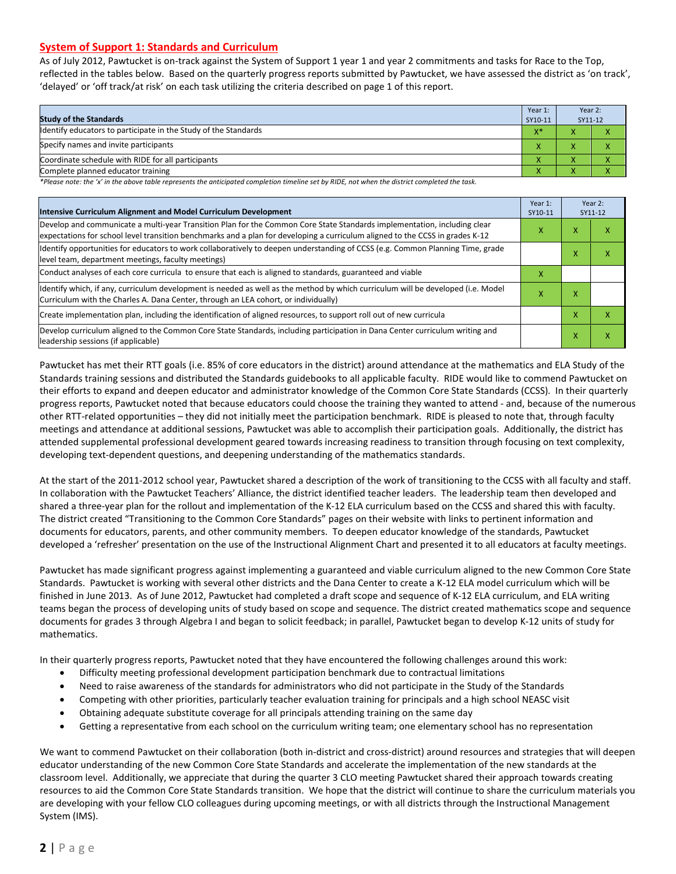#### **System of Support 1: Standards and Curriculum**

As of July 2012, Pawtucket is on-track against the System of Support 1 year 1 and year 2 commitments and tasks for Race to the Top, reflected in the tables below. Based on the quarterly progress reports submitted by Pawtucket, we have assessed the district as 'on track', 'delayed' or 'off track/at risk' on each task utilizing the criteria described on page 1 of this report.

| <b>Study of the Standards</b>                                   | Year 1:<br>SY10-11 | Year 2:<br>SY11-12 |  |
|-----------------------------------------------------------------|--------------------|--------------------|--|
| Identify educators to participate in the Study of the Standards | $X^*$              |                    |  |
| Specify names and invite participants                           | $\mathbf{v}$       |                    |  |
| Coordinate schedule with RIDE for all participants              | $\mathbf{\Lambda}$ | ∧                  |  |
| Complete planned educator training                              | $\mathbf{\Lambda}$ | ∧                  |  |

*\*Please note: the 'x' in the above table represents the anticipated completion timeline set by RIDE, not when the district completed the task.*

| Intensive Curriculum Alignment and Model Curriculum Development                                                                                                                                                                                           | Year 1:<br>SY10-11 | Year 2:<br>SY11-12 |                   |
|-----------------------------------------------------------------------------------------------------------------------------------------------------------------------------------------------------------------------------------------------------------|--------------------|--------------------|-------------------|
| Develop and communicate a multi-year Transition Plan for the Common Core State Standards implementation, including clear<br>expectations for school level transition benchmarks and a plan for developing a curriculum aligned to the CCSS in grades K-12 | x                  | x                  | ⋏                 |
| Identify opportunities for educators to work collaboratively to deepen understanding of CCSS (e.g. Common Planning Time, grade<br>level team, department meetings, faculty meetings)                                                                      |                    | x                  | $\checkmark$<br>л |
| Conduct analyses of each core curricula to ensure that each is aligned to standards, guaranteed and viable                                                                                                                                                | x                  |                    |                   |
| Identify which, if any, curriculum development is needed as well as the method by which curriculum will be developed (i.e. Model<br>Curriculum with the Charles A. Dana Center, through an LEA cohort, or individually)                                   | х                  | x                  |                   |
| Create implementation plan, including the identification of aligned resources, to support roll out of new curricula                                                                                                                                       |                    | X                  | x                 |
| Develop curriculum aligned to the Common Core State Standards, including participation in Dana Center curriculum writing and<br>leadership sessions (if applicable)                                                                                       |                    | Χ                  | x                 |

Pawtucket has met their RTT goals (i.e. 85% of core educators in the district) around attendance at the mathematics and ELA Study of the Standards training sessions and distributed the Standards guidebooks to all applicable faculty. RIDE would like to commend Pawtucket on their efforts to expand and deepen educator and administrator knowledge of the Common Core State Standards (CCSS). In their quarterly progress reports, Pawtucket noted that because educators could choose the training they wanted to attend - and, because of the numerous other RTT-related opportunities – they did not initially meet the participation benchmark. RIDE is pleased to note that, through faculty meetings and attendance at additional sessions, Pawtucket was able to accomplish their participation goals. Additionally, the district has attended supplemental professional development geared towards increasing readiness to transition through focusing on text complexity, developing text-dependent questions, and deepening understanding of the mathematics standards.

At the start of the 2011-2012 school year, Pawtucket shared a description of the work of transitioning to the CCSS with all faculty and staff. In collaboration with the Pawtucket Teachers' Alliance, the district identified teacher leaders. The leadership team then developed and shared a three-year plan for the rollout and implementation of the K-12 ELA curriculum based on the CCSS and shared this with faculty. The district created "Transitioning to the Common Core Standards" pages on their website with links to pertinent information and documents for educators, parents, and other community members. To deepen educator knowledge of the standards, Pawtucket developed a 'refresher' presentation on the use of the Instructional Alignment Chart and presented it to all educators at faculty meetings.

Pawtucket has made significant progress against implementing a guaranteed and viable curriculum aligned to the new Common Core State Standards. Pawtucket is working with several other districts and the Dana Center to create a K-12 ELA model curriculum which will be finished in June 2013. As of June 2012, Pawtucket had completed a draft scope and sequence of K-12 ELA curriculum, and ELA writing teams began the process of developing units of study based on scope and sequence. The district created mathematics scope and sequence documents for grades 3 through Algebra I and began to solicit feedback; in parallel, Pawtucket began to develop K-12 units of study for mathematics.

In their quarterly progress reports, Pawtucket noted that they have encountered the following challenges around this work:

- Difficulty meeting professional development participation benchmark due to contractual limitations
- Need to raise awareness of the standards for administrators who did not participate in the Study of the Standards
- Competing with other priorities, particularly teacher evaluation training for principals and a high school NEASC visit
- Obtaining adequate substitute coverage for all principals attending training on the same day
- Getting a representative from each school on the curriculum writing team; one elementary school has no representation

We want to commend Pawtucket on their collaboration (both in-district and cross-district) around resources and strategies that will deepen educator understanding of the new Common Core State Standards and accelerate the implementation of the new standards at the classroom level. Additionally, we appreciate that during the quarter 3 CLO meeting Pawtucket shared their approach towards creating resources to aid the Common Core State Standards transition. We hope that the district will continue to share the curriculum materials you are developing with your fellow CLO colleagues during upcoming meetings, or with all districts through the Instructional Management System (IMS).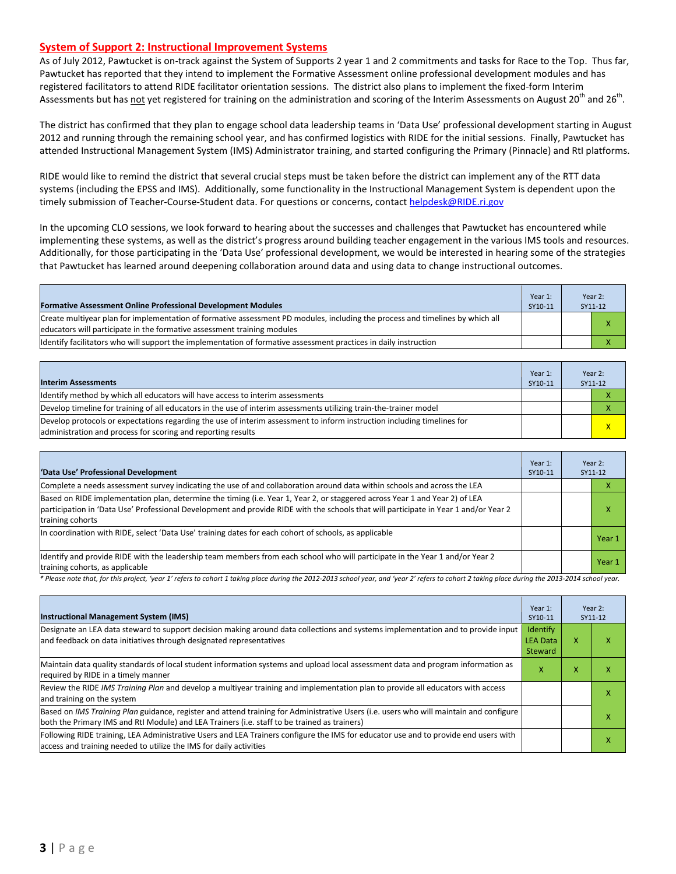#### **System of Support 2: Instructional Improvement Systems**

As of July 2012, Pawtucket is on-track against the System of Supports 2 year 1 and 2 commitments and tasks for Race to the Top. Thus far, Pawtucket has reported that they intend to implement the Formative Assessment online professional development modules and has registered facilitators to attend RIDE facilitator orientation sessions. The district also plans to implement the fixed-form Interim Assessments but has <u>not</u> yet registered for training on the administration and scoring of the Interim Assessments on August 20<sup>th</sup> and 26<sup>th</sup>.

The district has confirmed that they plan to engage school data leadership teams in 'Data Use' professional development starting in August 2012 and running through the remaining school year, and has confirmed logistics with RIDE for the initial sessions. Finally, Pawtucket has attended Instructional Management System (IMS) Administrator training, and started configuring the Primary (Pinnacle) and RtI platforms.

RIDE would like to remind the district that several crucial steps must be taken before the district can implement any of the RTT data systems (including the EPSS and IMS). Additionally, some functionality in the Instructional Management System is dependent upon the timely submission of Teacher-Course-Student data. For questions or concerns, contact [helpdesk@RIDE.ri.gov](mailto:helpdesk@RIDE.ri.gov)

In the upcoming CLO sessions, we look forward to hearing about the successes and challenges that Pawtucket has encountered while implementing these systems, as well as the district's progress around building teacher engagement in the various IMS tools and resources. Additionally, for those participating in the 'Data Use' professional development, we would be interested in hearing some of the strategies that Pawtucket has learned around deepening collaboration around data and using data to change instructional outcomes.

| <b>Formative Assessment Online Professional Development Modules</b>                                                                                                                                      | Year 1:<br>SY10-11 | Year 2:<br>SY11-12 |
|----------------------------------------------------------------------------------------------------------------------------------------------------------------------------------------------------------|--------------------|--------------------|
| Create multivear plan for implementation of formative assessment PD modules, including the process and timelines by which all<br>educators will participate in the formative assessment training modules |                    |                    |
| Identify facilitators who will support the implementation of formative assessment practices in daily instruction                                                                                         |                    |                    |

| <b>Interim Assessments</b>                                                                                                                                                              | Year 1:<br>SY10-11 | Year 2:<br>SY11-12      |
|-----------------------------------------------------------------------------------------------------------------------------------------------------------------------------------------|--------------------|-------------------------|
| Identify method by which all educators will have access to interim assessments                                                                                                          |                    |                         |
| Develop timeline for training of all educators in the use of interim assessments utilizing train-the-trainer model                                                                      |                    |                         |
| Develop protocols or expectations regarding the use of interim assessment to inform instruction including timelines for<br>administration and process for scoring and reporting results |                    | $\overline{\mathsf{x}}$ |

| 'Data Use' Professional Development                                                                                                                                                                                                                                                     | Year 1:<br>SY10-11 | Year 2:<br>SY11-12 |
|-----------------------------------------------------------------------------------------------------------------------------------------------------------------------------------------------------------------------------------------------------------------------------------------|--------------------|--------------------|
| Complete a needs assessment survey indicating the use of and collaboration around data within schools and across the LEA                                                                                                                                                                |                    |                    |
| Based on RIDE implementation plan, determine the timing (i.e. Year 1, Year 2, or staggered across Year 1 and Year 2) of LEA<br>participation in 'Data Use' Professional Development and provide RIDE with the schools that will participate in Year 1 and/or Year 2<br>training cohorts |                    | x                  |
| In coordination with RIDE, select 'Data Use' training dates for each cohort of schools, as applicable                                                                                                                                                                                   |                    | Year 1             |
| ldentify and provide RIDE with the leadership team members from each school who will participate in the Year 1 and/or Year 2<br>training cohorts, as applicable                                                                                                                         |                    | Year 1             |

*\* Please note that, for this project, 'year 1' refers to cohort 1 taking place during the 2012-2013 school year, and 'year 2' refers to cohort 2 taking place during the 2013-2014 school year.*

| <b>Instructional Management System (IMS)</b>                                                                                                                                                                                           | Year 1:<br>SY10-11                     | Year $2:$<br>SY11-12 |  |
|----------------------------------------------------------------------------------------------------------------------------------------------------------------------------------------------------------------------------------------|----------------------------------------|----------------------|--|
| Designate an LEA data steward to support decision making around data collections and systems implementation and to provide input<br>and feedback on data initiatives through designated representatives                                | Identify<br><b>LEA Data</b><br>Steward | x                    |  |
| Maintain data quality standards of local student information systems and upload local assessment data and program information as<br>required by RIDE in a timely manner                                                                | X                                      | x                    |  |
| Review the RIDE IMS Training Plan and develop a multiyear training and implementation plan to provide all educators with access<br>and training on the system                                                                          |                                        |                      |  |
| Based on IMS Training Plan guidance, register and attend training for Administrative Users (i.e. users who will maintain and configure<br>both the Primary IMS and RtI Module) and LEA Trainers (i.e. staff to be trained as trainers) |                                        |                      |  |
| Following RIDE training, LEA Administrative Users and LEA Trainers configure the IMS for educator use and to provide end users with<br>access and training needed to utilize the IMS for daily activities                              |                                        |                      |  |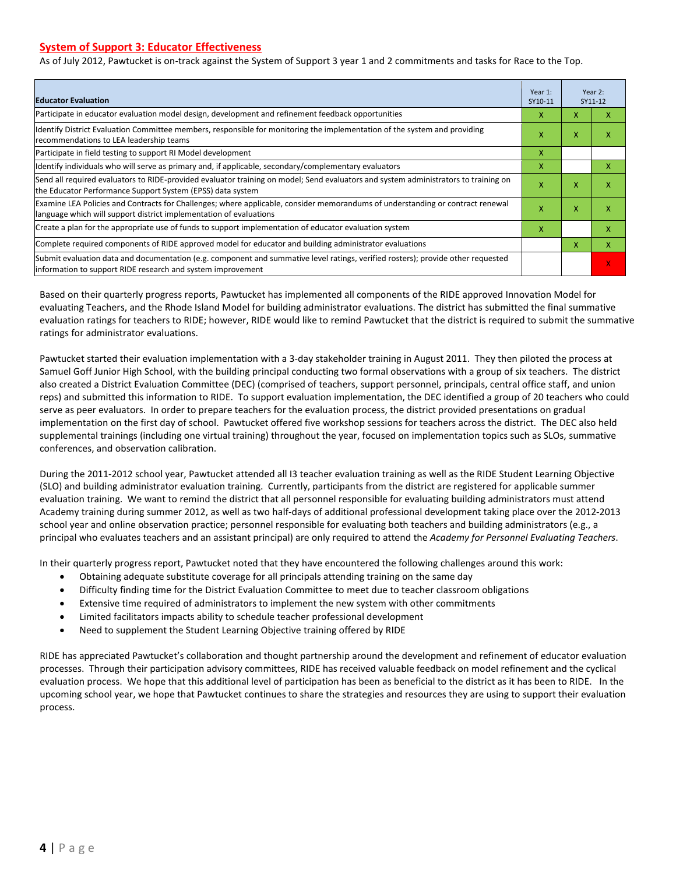#### **System of Support 3: Educator Effectiveness**

As of July 2012, Pawtucket is on-track against the System of Support 3 year 1 and 2 commitments and tasks for Race to the Top.

| <b>Educator Evaluation</b>                                                                                                                                                                           | Year 1:<br>SY10-11 |    | Year 2:<br>SY11-12        |
|------------------------------------------------------------------------------------------------------------------------------------------------------------------------------------------------------|--------------------|----|---------------------------|
| Participate in educator evaluation model design, development and refinement feedback opportunities                                                                                                   | x                  | x  | x                         |
| Identify District Evaluation Committee members, responsible for monitoring the implementation of the system and providing<br>recommendations to LEA leadership teams                                 | x                  | X  | Χ                         |
| Participate in field testing to support RI Model development                                                                                                                                         | X                  |    |                           |
| Identify individuals who will serve as primary and, if applicable, secondary/complementary evaluators                                                                                                | X                  |    | X                         |
| Send all required evaluators to RIDE-provided evaluator training on model; Send evaluators and system administrators to training on<br>the Educator Performance Support System (EPSS) data system    | X                  | X  | $\boldsymbol{\mathsf{x}}$ |
| Examine LEA Policies and Contracts for Challenges; where applicable, consider memorandums of understanding or contract renewal<br>language which will support district implementation of evaluations | X                  | X  | x                         |
| Create a plan for the appropriate use of funds to support implementation of educator evaluation system                                                                                               | x                  |    | x                         |
| Complete required components of RIDE approved model for educator and building administrator evaluations                                                                                              |                    | X. | X                         |
| Submit evaluation data and documentation (e.g. component and summative level ratings, verified rosters); provide other requested<br>information to support RIDE research and system improvement      |                    |    | X                         |

Based on their quarterly progress reports, Pawtucket has implemented all components of the RIDE approved Innovation Model for evaluating Teachers, and the Rhode Island Model for building administrator evaluations. The district has submitted the final summative evaluation ratings for teachers to RIDE; however, RIDE would like to remind Pawtucket that the district is required to submit the summative ratings for administrator evaluations.

Pawtucket started their evaluation implementation with a 3-day stakeholder training in August 2011. They then piloted the process at Samuel Goff Junior High School, with the building principal conducting two formal observations with a group of six teachers. The district also created a District Evaluation Committee (DEC) (comprised of teachers, support personnel, principals, central office staff, and union reps) and submitted this information to RIDE. To support evaluation implementation, the DEC identified a group of 20 teachers who could serve as peer evaluators. In order to prepare teachers for the evaluation process, the district provided presentations on gradual implementation on the first day of school. Pawtucket offered five workshop sessions for teachers across the district. The DEC also held supplemental trainings (including one virtual training) throughout the year, focused on implementation topics such as SLOs, summative conferences, and observation calibration.

During the 2011-2012 school year, Pawtucket attended all I3 teacher evaluation training as well as the RIDE Student Learning Objective (SLO) and building administrator evaluation training. Currently, participants from the district are registered for applicable summer evaluation training. We want to remind the district that all personnel responsible for evaluating building administrators must attend Academy training during summer 2012, as well as two half-days of additional professional development taking place over the 2012-2013 school year and online observation practice; personnel responsible for evaluating both teachers and building administrators (e.g., a principal who evaluates teachers and an assistant principal) are only required to attend the *Academy for Personnel Evaluating Teachers*.

In their quarterly progress report, Pawtucket noted that they have encountered the following challenges around this work:

- Obtaining adequate substitute coverage for all principals attending training on the same day
- Difficulty finding time for the District Evaluation Committee to meet due to teacher classroom obligations
- Extensive time required of administrators to implement the new system with other commitments
- Limited facilitators impacts ability to schedule teacher professional development
- Need to supplement the Student Learning Objective training offered by RIDE

RIDE has appreciated Pawtucket's collaboration and thought partnership around the development and refinement of educator evaluation processes. Through their participation advisory committees, RIDE has received valuable feedback on model refinement and the cyclical evaluation process. We hope that this additional level of participation has been as beneficial to the district as it has been to RIDE. In the upcoming school year, we hope that Pawtucket continues to share the strategies and resources they are using to support their evaluation process.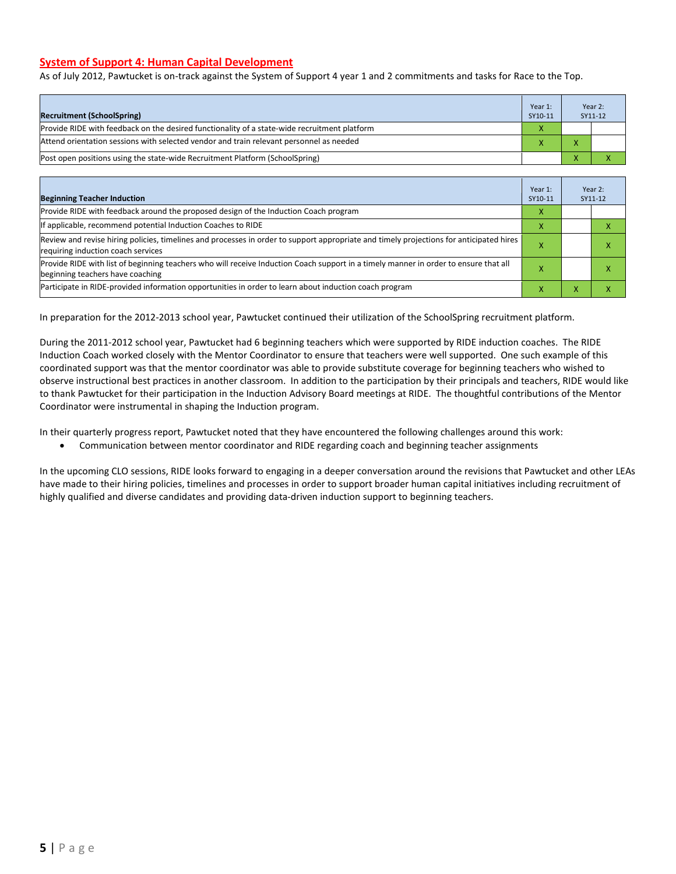#### **System of Support 4: Human Capital Development**

As of July 2012, Pawtucket is on-track against the System of Support 4 year 1 and 2 commitments and tasks for Race to the Top.

| <b>Recruitment (SchoolSpring)</b>                                                            | Year 1:<br>SY10-11 |                          | Year 2:<br>SY11-12 |  |
|----------------------------------------------------------------------------------------------|--------------------|--------------------------|--------------------|--|
| Provide RIDE with feedback on the desired functionality of a state-wide recruitment platform |                    |                          |                    |  |
| Attend orientation sessions with selected vendor and train relevant personnel as needed      |                    | $\mathbf{v}$             |                    |  |
| (Post open positions using the state-wide Recruitment Platform (SchoolSpring)                |                    | $\overline{\phantom{a}}$ |                    |  |

| <b>Beginning Teacher Induction</b>                                                                                                                                            | Year 1:<br>SY10-11 | Year 2:<br>SY11-12 |   |
|-------------------------------------------------------------------------------------------------------------------------------------------------------------------------------|--------------------|--------------------|---|
| Provide RIDE with feedback around the proposed design of the Induction Coach program                                                                                          | X                  |                    |   |
| If applicable, recommend potential Induction Coaches to RIDE                                                                                                                  | X                  |                    |   |
| Review and revise hiring policies, timelines and processes in order to support appropriate and timely projections for anticipated hires<br>requiring induction coach services | х                  |                    | л |
| Provide RIDE with list of beginning teachers who will receive Induction Coach support in a timely manner in order to ensure that all<br>beginning teachers have coaching      | х                  |                    | ⋏ |
| Participate in RIDE-provided information opportunities in order to learn about induction coach program                                                                        | x                  | ⋏                  | ^ |

In preparation for the 2012-2013 school year, Pawtucket continued their utilization of the SchoolSpring recruitment platform.

During the 2011-2012 school year, Pawtucket had 6 beginning teachers which were supported by RIDE induction coaches. The RIDE Induction Coach worked closely with the Mentor Coordinator to ensure that teachers were well supported. One such example of this coordinated support was that the mentor coordinator was able to provide substitute coverage for beginning teachers who wished to observe instructional best practices in another classroom. In addition to the participation by their principals and teachers, RIDE would like to thank Pawtucket for their participation in the Induction Advisory Board meetings at RIDE. The thoughtful contributions of the Mentor Coordinator were instrumental in shaping the Induction program.

In their quarterly progress report, Pawtucket noted that they have encountered the following challenges around this work:

• Communication between mentor coordinator and RIDE regarding coach and beginning teacher assignments

In the upcoming CLO sessions, RIDE looks forward to engaging in a deeper conversation around the revisions that Pawtucket and other LEAs have made to their hiring policies, timelines and processes in order to support broader human capital initiatives including recruitment of highly qualified and diverse candidates and providing data-driven induction support to beginning teachers.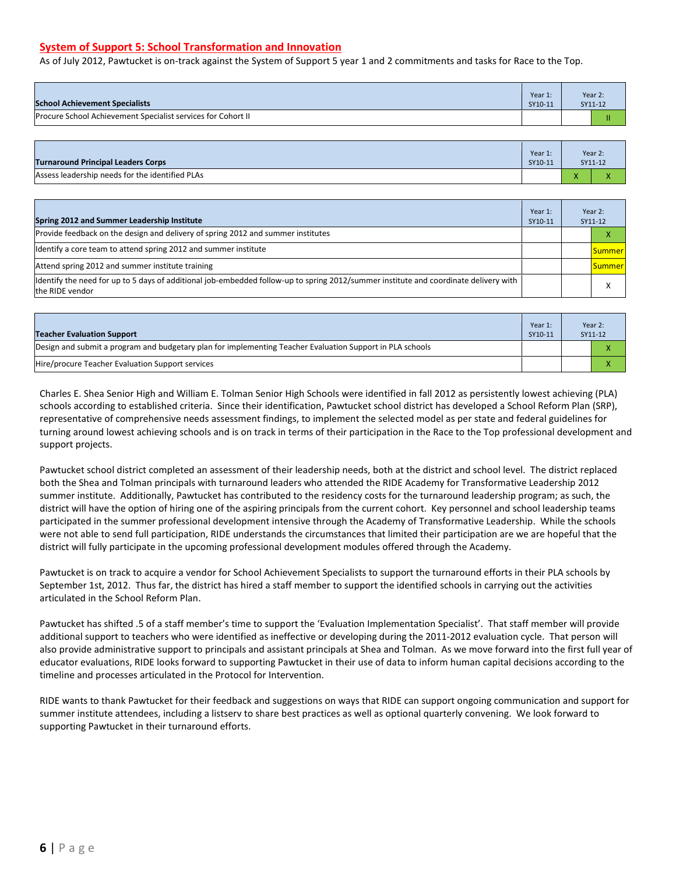#### **System of Support 5: School Transformation and Innovation**

As of July 2012, Pawtucket is on-track against the System of Support 5 year 1 and 2 commitments and tasks for Race to the Top.

| <b>School Achievement Specialists</b>                        | Year 1:<br>SY10-11 | Year 2:<br>SY11-12 |
|--------------------------------------------------------------|--------------------|--------------------|
| Procure School Achievement Specialist services for Cohort II |                    | н                  |

| <b>Turnaround Principal Leaders Corps</b>       | Year 1:<br>SY10-11 |   | Year 2:<br>SY11-12                   |
|-------------------------------------------------|--------------------|---|--------------------------------------|
| Assess leadership needs for the identified PLAs |                    | Λ | $\ddot{\phantom{1}}$<br>$\mathbf{v}$ |

| Spring 2012 and Summer Leadership Institute                                                                                                             | Year 1:<br>SY10-11 | Year 2:<br>SY11-12 |  |
|---------------------------------------------------------------------------------------------------------------------------------------------------------|--------------------|--------------------|--|
| Provide feedback on the design and delivery of spring 2012 and summer institutes                                                                        |                    |                    |  |
| Identify a core team to attend spring 2012 and summer institute                                                                                         |                    | <b>Summer</b>      |  |
| Attend spring 2012 and summer institute training                                                                                                        |                    | <b>Summer</b>      |  |
| ldentify the need for up to 5 days of additional job-embedded follow-up to spring 2012/summer institute and coordinate delivery with<br>the RIDE vendor |                    | $\mathbf{v}$<br>v  |  |

| Teacher Evaluation Support                                                                                | Year 1:<br>SY10-11 | Year 2:<br>SY11-12 |  |
|-----------------------------------------------------------------------------------------------------------|--------------------|--------------------|--|
| Design and submit a program and budgetary plan for implementing Teacher Evaluation Support in PLA schools |                    | X                  |  |
| Hire/procure Teacher Evaluation Support services                                                          |                    | $\mathbf{v}$<br>ж  |  |

Charles E. Shea Senior High and William E. Tolman Senior High Schools were identified in fall 2012 as persistently lowest achieving (PLA) schools according to established criteria. Since their identification, Pawtucket school district has developed a School Reform Plan (SRP), representative of comprehensive needs assessment findings, to implement the selected model as per state and federal guidelines for turning around lowest achieving schools and is on track in terms of their participation in the Race to the Top professional development and support projects.

Pawtucket school district completed an assessment of their leadership needs, both at the district and school level. The district replaced both the Shea and Tolman principals with turnaround leaders who attended the RIDE Academy for Transformative Leadership 2012 summer institute. Additionally, Pawtucket has contributed to the residency costs for the turnaround leadership program; as such, the district will have the option of hiring one of the aspiring principals from the current cohort. Key personnel and school leadership teams participated in the summer professional development intensive through the Academy of Transformative Leadership. While the schools were not able to send full participation, RIDE understands the circumstances that limited their participation are we are hopeful that the district will fully participate in the upcoming professional development modules offered through the Academy.

Pawtucket is on track to acquire a vendor for School Achievement Specialists to support the turnaround efforts in their PLA schools by September 1st, 2012. Thus far, the district has hired a staff member to support the identified schools in carrying out the activities articulated in the School Reform Plan.

Pawtucket has shifted .5 of a staff member's time to support the 'Evaluation Implementation Specialist'. That staff member will provide additional support to teachers who were identified as ineffective or developing during the 2011-2012 evaluation cycle. That person will also provide administrative support to principals and assistant principals at Shea and Tolman. As we move forward into the first full year of educator evaluations, RIDE looks forward to supporting Pawtucket in their use of data to inform human capital decisions according to the timeline and processes articulated in the Protocol for Intervention.

RIDE wants to thank Pawtucket for their feedback and suggestions on ways that RIDE can support ongoing communication and support for summer institute attendees, including a listserv to share best practices as well as optional quarterly convening. We look forward to supporting Pawtucket in their turnaround efforts.